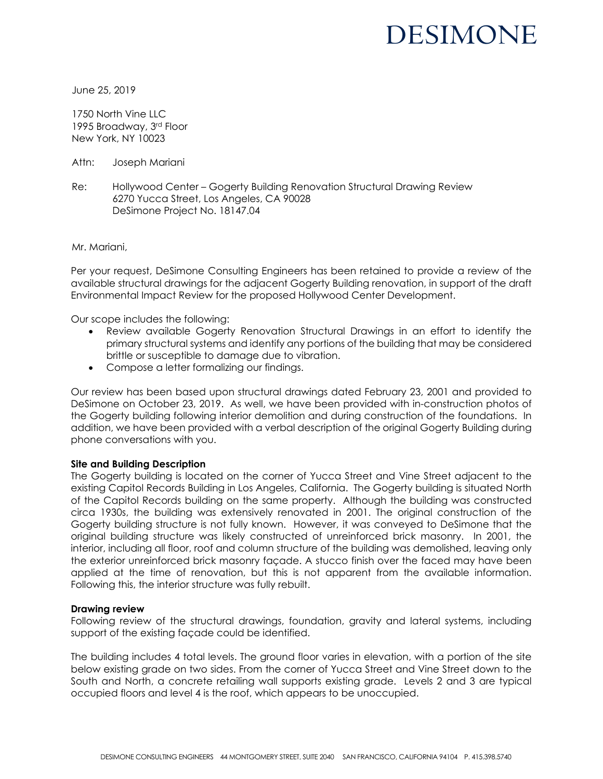# DESIMONE

June 25, 2019

1750 North Vine LLC 1995 Broadway, 3rd Floor New York, NY 10023

Attn: Joseph Mariani

Re: Hollywood Center – Gogerty Building Renovation Structural Drawing Review 6270 Yucca Street, Los Angeles, CA 90028 DeSimone Project No. 18147.04

Mr. Mariani,

Per your request, DeSimone Consulting Engineers has been retained to provide a review of the available structural drawings for the adjacent Gogerty Building renovation, in support of the draft Environmental Impact Review for the proposed Hollywood Center Development.

Our scope includes the following:

- Review available Gogerty Renovation Structural Drawings in an effort to identify the primary structural systems and identify any portions of the building that may be considered brittle or susceptible to damage due to vibration.
- Compose a letter formalizing our findings.

Our review has been based upon structural drawings dated February 23, 2001 and provided to DeSimone on October 23, 2019. As well, we have been provided with in-construction photos of the Gogerty building following interior demolition and during construction of the foundations. In addition, we have been provided with a verbal description of the original Gogerty Building during phone conversations with you.

#### **Site and Building Description**

The Gogerty building is located on the corner of Yucca Street and Vine Street adjacent to the existing Capitol Records Building in Los Angeles, California. The Gogerty building is situated North of the Capitol Records building on the same property. Although the building was constructed circa 1930s, the building was extensively renovated in 2001. The original construction of the Gogerty building structure is not fully known. However, it was conveyed to DeSimone that the original building structure was likely constructed of unreinforced brick masonry. In 2001, the interior, including all floor, roof and column structure of the building was demolished, leaving only the exterior unreinforced brick masonry façade. A stucco finish over the faced may have been applied at the time of renovation, but this is not apparent from the available information. Following this, the interior structure was fully rebuilt.

#### **Drawing review**

Following review of the structural drawings, foundation, gravity and lateral systems, including support of the existing façade could be identified.

The building includes 4 total levels. The ground floor varies in elevation, with a portion of the site below existing grade on two sides. From the corner of Yucca Street and Vine Street down to the South and North, a concrete retailing wall supports existing grade. Levels 2 and 3 are typical occupied floors and level 4 is the roof, which appears to be unoccupied.